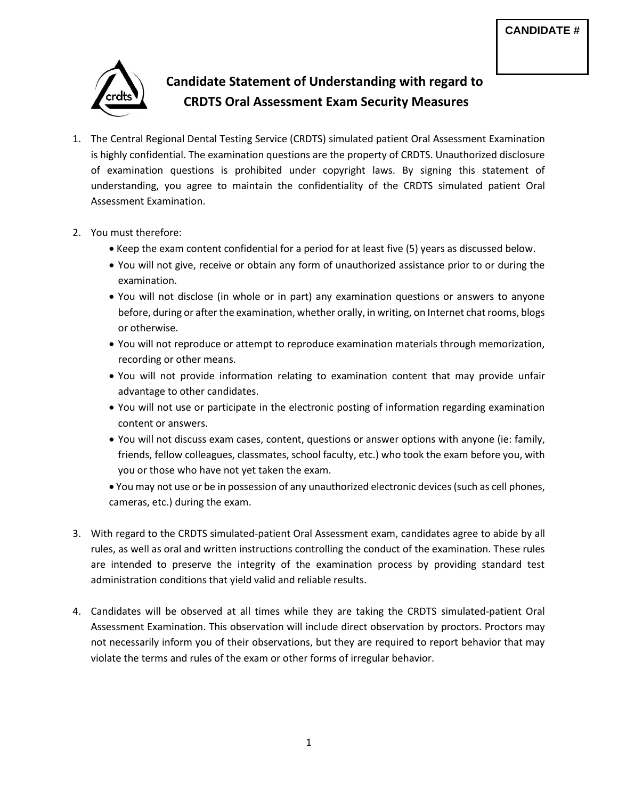

## **Candidate Statement of Understanding with regard to CRDTS Oral Assessment Exam Security Measures**

- 1. The Central Regional Dental Testing Service (CRDTS) simulated patient Oral Assessment Examination is highly confidential. The examination questions are the property of CRDTS. Unauthorized disclosure of examination questions is prohibited under copyright laws. By signing this statement of understanding, you agree to maintain the confidentiality of the CRDTS simulated patient Oral Assessment Examination.
- 2. You must therefore:
	- Keep the exam content confidential for a period for at least five (5) years as discussed below.
	- You will not give, receive or obtain any form of unauthorized assistance prior to or during the examination.
	- You will not disclose (in whole or in part) any examination questions or answers to anyone before, during or after the examination, whether orally, in writing, on Internet chat rooms, blogs or otherwise.
	- You will not reproduce or attempt to reproduce examination materials through memorization, recording or other means.
	- You will not provide information relating to examination content that may provide unfair advantage to other candidates.
	- You will not use or participate in the electronic posting of information regarding examination content or answers.
	- You will not discuss exam cases, content, questions or answer options with anyone (ie: family, friends, fellow colleagues, classmates, school faculty, etc.) who took the exam before you, with you or those who have not yet taken the exam.
	- You may not use or be in possession of any unauthorized electronic devices(such as cell phones, cameras, etc.) during the exam.
- 3. With regard to the CRDTS simulated-patient Oral Assessment exam, candidates agree to abide by all rules, as well as oral and written instructions controlling the conduct of the examination. These rules are intended to preserve the integrity of the examination process by providing standard test administration conditions that yield valid and reliable results.
- 4. Candidates will be observed at all times while they are taking the CRDTS simulated-patient Oral Assessment Examination. This observation will include direct observation by proctors. Proctors may not necessarily inform you of their observations, but they are required to report behavior that may violate the terms and rules of the exam or other forms of irregular behavior.